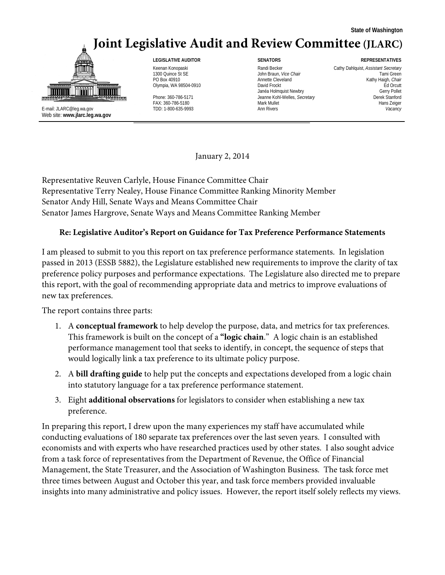## **Joint Legislative Audit and Review Committee (JLARC)**



E-mail: JLARC@leg.wa.gov TDD: 1-800-635-9993 Ann Rivers *Vacancy* Web site: **www.jlarc.leg.wa.gov**

1300 Quince St SE **Tami Green** John Braun, *Vice Chair* **Tami Green** Tami Green PO Box 40910 **Annette Cleveland** Annette Cleveland Kathy Haigh, Chair Olympia, WA 98504-0910<br>Olympia, WA 98504-0910 David Frockt David Frockt David Frockt David Frockt David Frockt David Frockt David Frockt Phone: 360-786-5171 **Deamne Kohl-Welles,** *Secretary* **Channel Active Standard Channel Standard Channel Standard Channel Standard Channel Standard Channel Standard Channel Standard Channel Standard Channel Standard Channel S** FAX: 360-786-5180 Mark Mullet Hans Zeiger

#### **LEGISLATIVE AUDITOR SENATORS REPRESENTATIVES**

Keenan Konopaski **Randi Becker Cathy Dahlquist**, *Assistant Secretary* Cathy Dahlquist, *Assistant Secretary* Janéa Holmquist Newbry Charles and Charles Charles Charles Charles Gerry Pollet Jeanne Kohl-Welles, Secretary

January 2, 2014

Representative Reuven Carlyle, House Finance Committee Chair Representative Terry Nealey, House Finance Committee Ranking Minority Member Senator Andy Hill, Senate Ways and Means Committee Chair Senator James Hargrove, Senate Ways and Means Committee Ranking Member

#### **Re: Legislative Auditor's Report on Guidance for Tax Preference Performance Statements**

I am pleased to submit to you this report on tax preference performance statements. In legislation passed in 2013 (ESSB 5882), the Legislature established new requirements to improve the clarity of tax preference policy purposes and performance expectations. The Legislature also directed me to prepare this report, with the goal of recommending appropriate data and metrics to improve evaluations of new tax preferences.

The report contains three parts:

- 1. A **conceptual framework** to help develop the purpose, data, and metrics for tax preferences. This framework is built on the concept of a **"logic chain**." A logic chain is an established performance management tool that seeks to identify, in concept, the sequence of steps that would logically link a tax preference to its ultimate policy purpose.
- 2. A **bill drafting guide** to help put the concepts and expectations developed from a logic chain into statutory language for a tax preference performance statement.
- 3. Eight **additional observations** for legislators to consider when establishing a new tax preference.

In preparing this report, I drew upon the many experiences my staff have accumulated while conducting evaluations of 180 separate tax preferences over the last seven years. I consulted with economists and with experts who have researched practices used by other states. I also sought advice from a task force of representatives from the Department of Revenue, the Office of Financial Management, the State Treasurer, and the Association of Washington Business. The task force met three times between August and October this year, and task force members provided invaluable insights into many administrative and policy issues. However, the report itself solely reflects my views.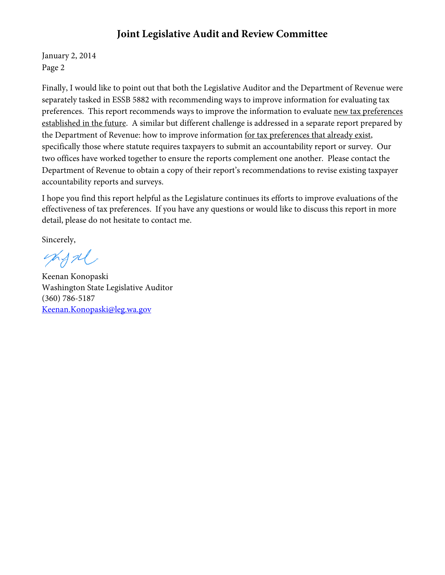### **Joint Legislative Audit and Review Committee**

January 2, 2014 Page 2

Finally, I would like to point out that both the Legislative Auditor and the Department of Revenue were separately tasked in ESSB 5882 with recommending ways to improve information for evaluating tax preferences. This report recommends ways to improve the information to evaluate new tax preferences established in the future. A similar but different challenge is addressed in a separate report prepared by the Department of Revenue: how to improve information for tax preferences that already exist, specifically those where statute requires taxpayers to submit an accountability report or survey. Our two offices have worked together to ensure the reports complement one another. Please contact the Department of Revenue to obtain a copy of their report's recommendations to revise existing taxpayer accountability reports and surveys.

I hope you find this report helpful as the Legislature continues its efforts to improve evaluations of the effectiveness of tax preferences. If you have any questions or would like to discuss this report in more detail, please do not hesitate to contact me.

Sincerely,

charl

Keenan Konopaski Washington State Legislative Auditor (360) 786-5187 [Keenan.Konopaski@leg.wa.gov](mailto:Keenan.Konopaski@leg.wa.gov)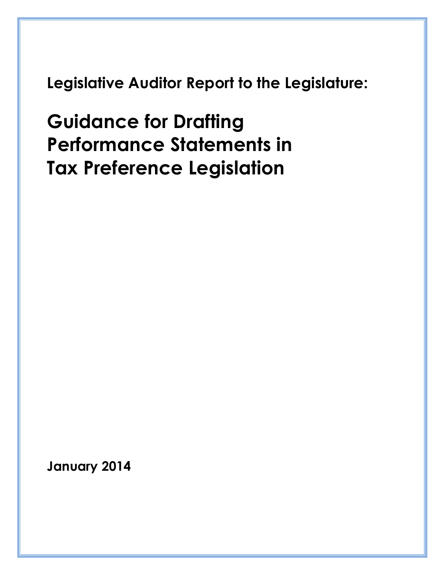**Legislative Auditor Report to the Legislature:**

**Guidance for Drafting Performance Statements in Tax Preference Legislation**

**January 2014**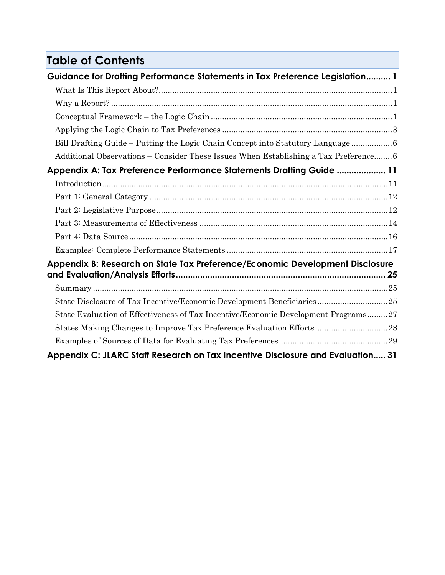## **Table of Contents**

| Guidance for Drafting Performance Statements in Tax Preference Legislation 1        |  |
|-------------------------------------------------------------------------------------|--|
|                                                                                     |  |
|                                                                                     |  |
|                                                                                     |  |
|                                                                                     |  |
| Bill Drafting Guide - Putting the Logic Chain Concept into Statutory Language6      |  |
| Additional Observations - Consider These Issues When Establishing a Tax Preference6 |  |
| Appendix A: Tax Preference Performance Statements Drafting Guide  11                |  |
|                                                                                     |  |
|                                                                                     |  |
|                                                                                     |  |
|                                                                                     |  |
|                                                                                     |  |
|                                                                                     |  |
| Appendix B: Research on State Tax Preference/Economic Development Disclosure        |  |
|                                                                                     |  |
| State Disclosure of Tax Incentive/Economic Development Beneficiaries25              |  |
| State Evaluation of Effectiveness of Tax Incentive/Economic Development Programs27  |  |
| States Making Changes to Improve Tax Preference Evaluation Efforts28                |  |
|                                                                                     |  |
| Appendix C: JLARC Staff Research on Tax Incentive Disclosure and Evaluation 31      |  |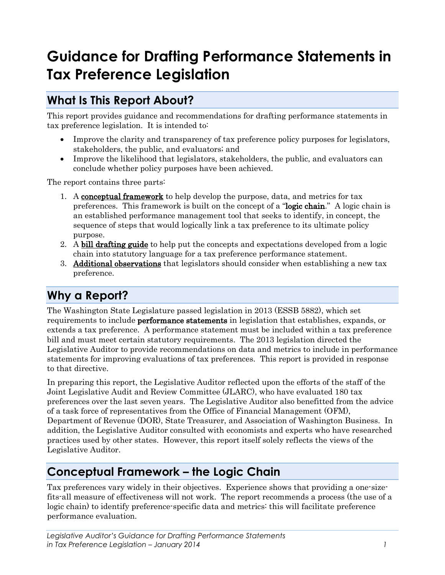# <span id="page-5-0"></span>**Guidance for Drafting Performance Statements in Tax Preference Legislation**

### <span id="page-5-1"></span>**What Is This Report About?**

This report provides guidance and recommendations for drafting performance statements in tax preference legislation. It is intended to:

- Improve the clarity and transparency of tax preference policy purposes for legislators, stakeholders, the public, and evaluators; and
- Improve the likelihood that legislators, stakeholders, the public, and evaluators can conclude whether policy purposes have been achieved.

The report contains three parts:

- 1. A **conceptual framework** to help develop the purpose, data, and metrics for tax preferences. This framework is built on the concept of a "logic chain." A logic chain is an established performance management tool that seeks to identify, in concept, the sequence of steps that would logically link a tax preference to its ultimate policy purpose.
- 2. A bill drafting guide to help put the concepts and expectations developed from a logic chain into statutory language for a tax preference performance statement.
- 3. Additional observations that legislators should consider when establishing a new tax preference.

### <span id="page-5-2"></span>**Why a Report?**

The Washington State Legislature passed legislation in 2013 (ESSB 5882), which set requirements to include performance statements in legislation that establishes, expands, or extends a tax preference. A performance statement must be included within a tax preference bill and must meet certain statutory requirements. The 2013 legislation directed the Legislative Auditor to provide recommendations on data and metrics to include in performance statements for improving evaluations of tax preferences. This report is provided in response to that directive.

In preparing this report, the Legislative Auditor reflected upon the efforts of the staff of the Joint Legislative Audit and Review Committee (JLARC), who have evaluated 180 tax preferences over the last seven years. The Legislative Auditor also benefitted from the advice of a task force of representatives from the Office of Financial Management (OFM), Department of Revenue (DOR), State Treasurer, and Association of Washington Business. In addition, the Legislative Auditor consulted with economists and experts who have researched practices used by other states. However, this report itself solely reflects the views of the Legislative Auditor.

### <span id="page-5-3"></span>**Conceptual Framework – the Logic Chain**

Tax preferences vary widely in their objectives. Experience shows that providing a one-sizefits-all measure of effectiveness will not work. The report recommends a process (the use of a logic chain) to identify preference-specific data and metrics: this will facilitate preference performance evaluation.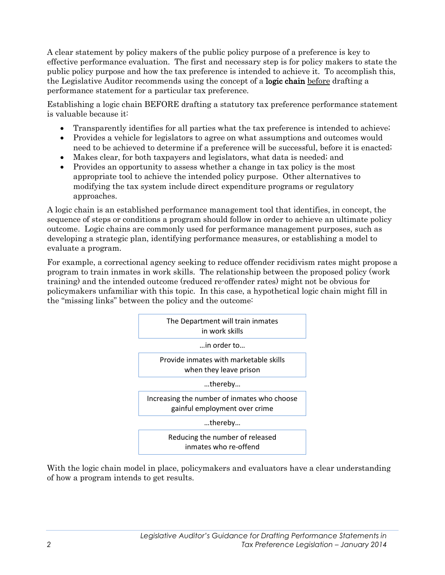A clear statement by policy makers of the public policy purpose of a preference is key to effective performance evaluation. The first and necessary step is for policy makers to state the public policy purpose and how the tax preference is intended to achieve it. To accomplish this, the Legislative Auditor recommends using the concept of a **logic chain** before drafting a performance statement for a particular tax preference.

Establishing a logic chain BEFORE drafting a statutory tax preference performance statement is valuable because it:

- Transparently identifies for all parties what the tax preference is intended to achieve;
- Provides a vehicle for legislators to agree on what assumptions and outcomes would need to be achieved to determine if a preference will be successful, before it is enacted;
- Makes clear, for both taxpayers and legislators, what data is needed; and
- Provides an opportunity to assess whether a change in tax policy is the most appropriate tool to achieve the intended policy purpose. Other alternatives to modifying the tax system include direct expenditure programs or regulatory approaches.

A logic chain is an established performance management tool that identifies, in concept, the sequence of steps or conditions a program should follow in order to achieve an ultimate policy outcome. Logic chains are commonly used for performance management purposes, such as developing a strategic plan, identifying performance measures, or establishing a model to evaluate a program.

For example, a correctional agency seeking to reduce offender recidivism rates might propose a program to train inmates in work skills. The relationship between the proposed policy (work training) and the intended outcome (reduced re-offender rates) might not be obvious for policymakers unfamiliar with this topic. In this case, a hypothetical logic chain might fill in the "missing links" between the policy and the outcome:



With the logic chain model in place, policymakers and evaluators have a clear understanding of how a program intends to get results.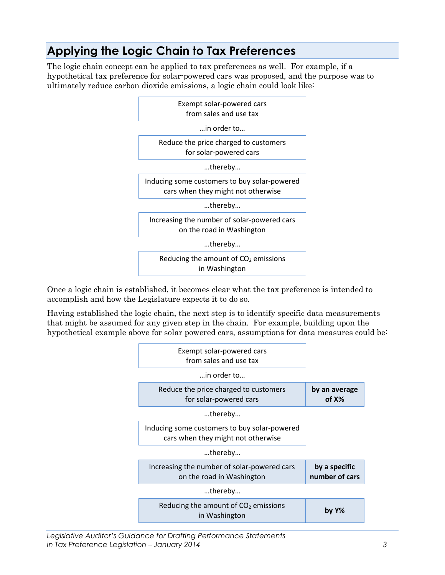### <span id="page-7-0"></span>**Applying the Logic Chain to Tax Preferences**

The logic chain concept can be applied to tax preferences as well. For example, if a hypothetical tax preference for solar-powered cars was proposed, and the purpose was to ultimately reduce carbon dioxide emissions, a logic chain could look like:



Once a logic chain is established, it becomes clear what the tax preference is intended to accomplish and how the Legislature expects it to do so.

Having established the logic chain, the next step is to identify specific data measurements that might be assumed for any given step in the chain. For example, building upon the hypothetical example above for solar powered cars, assumptions for data measures could be:



*Legislative Auditor's Guidance for Drafting Performance Statements in Tax Preference Legislation – January 2014 3*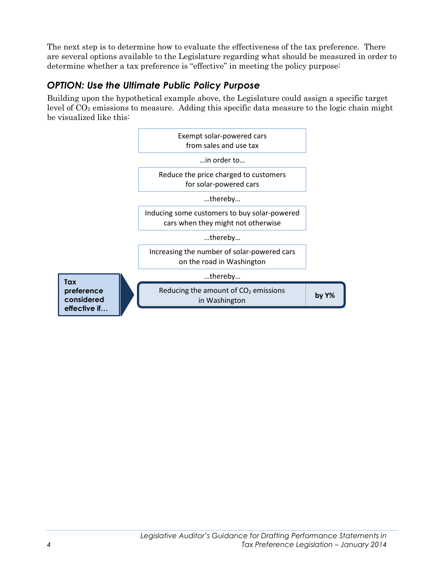The next step is to determine how to evaluate the effectiveness of the tax preference. There are several options available to the Legislature regarding what should be measured in order to determine whether a tax preference is "effective" in meeting the policy purpose:

### *OPTION: Use the Ultimate Public Policy Purpose*

Building upon the hypothetical example above, the Legislature could assign a specific target level of  $CO<sub>2</sub>$  emissions to measure. Adding this specific data measure to the logic chain might be visualized like this:

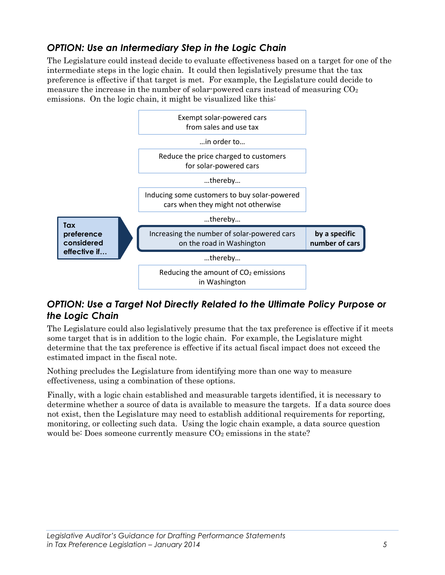### *OPTION: Use an Intermediary Step in the Logic Chain*

The Legislature could instead decide to evaluate effectiveness based on a target for one of the intermediate steps in the logic chain. It could then legislatively presume that the tax preference is effective if that target is met. For example, the Legislature could decide to measure the increase in the number of solar-powered cars instead of measuring  $CO<sub>2</sub>$ emissions. On the logic chain, it might be visualized like this:



### *OPTION: Use a Target Not Directly Related to the Ultimate Policy Purpose or the Logic Chain*

The Legislature could also legislatively presume that the tax preference is effective if it meets some target that is in addition to the logic chain. For example, the Legislature might determine that the tax preference is effective if its actual fiscal impact does not exceed the estimated impact in the fiscal note.

Nothing precludes the Legislature from identifying more than one way to measure effectiveness, using a combination of these options.

Finally, with a logic chain established and measurable targets identified, it is necessary to determine whether a source of data is available to measure the targets. If a data source does not exist, then the Legislature may need to establish additional requirements for reporting, monitoring, or collecting such data. Using the logic chain example, a data source question would be: Does someone currently measure  $CO<sub>2</sub>$  emissions in the state?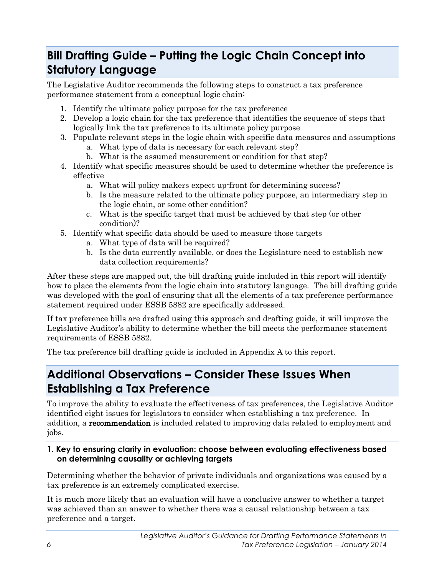### <span id="page-10-0"></span>**Bill Drafting Guide – Putting the Logic Chain Concept into Statutory Language**

The Legislative Auditor recommends the following steps to construct a tax preference performance statement from a conceptual logic chain:

- 1. Identify the ultimate policy purpose for the tax preference
- 2. Develop a logic chain for the tax preference that identifies the sequence of steps that logically link the tax preference to its ultimate policy purpose
- 3. Populate relevant steps in the logic chain with specific data measures and assumptions
	- a. What type of data is necessary for each relevant step?
	- b. What is the assumed measurement or condition for that step?
- 4. Identify what specific measures should be used to determine whether the preference is effective
	- a. What will policy makers expect up-front for determining success?
	- b. Is the measure related to the ultimate policy purpose, an intermediary step in the logic chain, or some other condition?
	- c. What is the specific target that must be achieved by that step (or other condition)?
- 5. Identify what specific data should be used to measure those targets
	- a. What type of data will be required?
	- b. Is the data currently available, or does the Legislature need to establish new data collection requirements?

After these steps are mapped out, the bill drafting guide included in this report will identify how to place the elements from the logic chain into statutory language. The bill drafting guide was developed with the goal of ensuring that all the elements of a tax preference performance statement required under ESSB 5882 are specifically addressed.

If tax preference bills are drafted using this approach and drafting guide, it will improve the Legislative Auditor's ability to determine whether the bill meets the performance statement requirements of ESSB 5882.

The tax preference bill drafting guide is included in Appendix A to this report.

### <span id="page-10-1"></span>**Additional Observations – Consider These Issues When Establishing a Tax Preference**

To improve the ability to evaluate the effectiveness of tax preferences, the Legislative Auditor identified eight issues for legislators to consider when establishing a tax preference. In addition, a recommendation is included related to improving data related to employment and jobs.

#### **1. Key to ensuring clarity in evaluation: choose between evaluating effectiveness based on determining causality or achieving targets**

Determining whether the behavior of private individuals and organizations was caused by a tax preference is an extremely complicated exercise.

It is much more likely that an evaluation will have a conclusive answer to whether a target was achieved than an answer to whether there was a causal relationship between a tax preference and a target.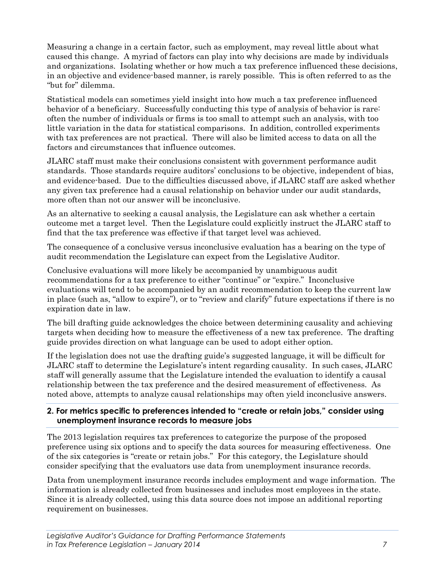Measuring a change in a certain factor, such as employment, may reveal little about what caused this change. A myriad of factors can play into why decisions are made by individuals and organizations. Isolating whether or how much a tax preference influenced these decisions, in an objective and evidence-based manner, is rarely possible. This is often referred to as the "but for" dilemma.

Statistical models can sometimes yield insight into how much a tax preference influenced behavior of a beneficiary. Successfully conducting this type of analysis of behavior is rare: often the number of individuals or firms is too small to attempt such an analysis, with too little variation in the data for statistical comparisons. In addition, controlled experiments with tax preferences are not practical. There will also be limited access to data on all the factors and circumstances that influence outcomes.

JLARC staff must make their conclusions consistent with government performance audit standards. Those standards require auditors' conclusions to be objective, independent of bias, and evidence-based. Due to the difficulties discussed above, if JLARC staff are asked whether any given tax preference had a causal relationship on behavior under our audit standards, more often than not our answer will be inconclusive.

As an alternative to seeking a causal analysis, the Legislature can ask whether a certain outcome met a target level. Then the Legislature could explicitly instruct the JLARC staff to find that the tax preference was effective if that target level was achieved.

The consequence of a conclusive versus inconclusive evaluation has a bearing on the type of audit recommendation the Legislature can expect from the Legislative Auditor.

Conclusive evaluations will more likely be accompanied by unambiguous audit recommendations for a tax preference to either "continue" or "expire." Inconclusive evaluations will tend to be accompanied by an audit recommendation to keep the current law in place (such as, "allow to expire"), or to "review and clarify" future expectations if there is no expiration date in law.

The bill drafting guide acknowledges the choice between determining causality and achieving targets when deciding how to measure the effectiveness of a new tax preference. The drafting guide provides direction on what language can be used to adopt either option.

If the legislation does not use the drafting guide's suggested language, it will be difficult for JLARC staff to determine the Legislature's intent regarding causality. In such cases, JLARC staff will generally assume that the Legislature intended the evaluation to identify a causal relationship between the tax preference and the desired measurement of effectiveness. As noted above, attempts to analyze causal relationships may often yield inconclusive answers.

#### **2. For metrics specific to preferences intended to "create or retain jobs," consider using unemployment insurance records to measure jobs**

The 2013 legislation requires tax preferences to categorize the purpose of the proposed preference using six options and to specify the data sources for measuring effectiveness. One of the six categories is "create or retain jobs." For this category, the Legislature should consider specifying that the evaluators use data from unemployment insurance records.

Data from unemployment insurance records includes employment and wage information. The information is already collected from businesses and includes most employees in the state. Since it is already collected, using this data source does not impose an additional reporting requirement on businesses.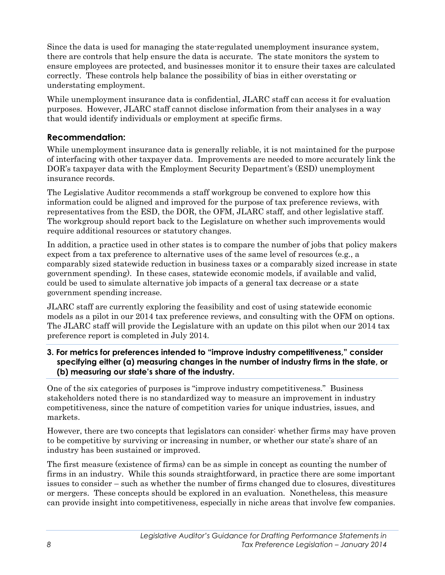Since the data is used for managing the state-regulated unemployment insurance system, there are controls that help ensure the data is accurate. The state monitors the system to ensure employees are protected, and businesses monitor it to ensure their taxes are calculated correctly. These controls help balance the possibility of bias in either overstating or understating employment.

While unemployment insurance data is confidential, JLARC staff can access it for evaluation purposes. However, JLARC staff cannot disclose information from their analyses in a way that would identify individuals or employment at specific firms.

#### **Recommendation:**

While unemployment insurance data is generally reliable, it is not maintained for the purpose of interfacing with other taxpayer data. Improvements are needed to more accurately link the DOR's taxpayer data with the Employment Security Department's (ESD) unemployment insurance records.

The Legislative Auditor recommends a staff workgroup be convened to explore how this information could be aligned and improved for the purpose of tax preference reviews, with representatives from the ESD, the DOR, the OFM, JLARC staff, and other legislative staff. The workgroup should report back to the Legislature on whether such improvements would require additional resources or statutory changes.

In addition, a practice used in other states is to compare the number of jobs that policy makers expect from a tax preference to alternative uses of the same level of resources (e.g., a comparably sized statewide reduction in business taxes or a comparably sized increase in state government spending). In these cases, statewide economic models, if available and valid, could be used to simulate alternative job impacts of a general tax decrease or a state government spending increase.

JLARC staff are currently exploring the feasibility and cost of using statewide economic models as a pilot in our 2014 tax preference reviews, and consulting with the OFM on options. The JLARC staff will provide the Legislature with an update on this pilot when our 2014 tax preference report is completed in July 2014.

#### **3. For metrics for preferences intended to "improve industry competitiveness," consider specifying either (a) measuring changes in the number of industry firms in the state, or (b) measuring our state's share of the industry.**

One of the six categories of purposes is "improve industry competitiveness." Business stakeholders noted there is no standardized way to measure an improvement in industry competitiveness, since the nature of competition varies for unique industries, issues, and markets.

However, there are two concepts that legislators can consider: whether firms may have proven to be competitive by surviving or increasing in number, or whether our state's share of an industry has been sustained or improved.

The first measure (existence of firms) can be as simple in concept as counting the number of firms in an industry. While this sounds straightforward, in practice there are some important issues to consider – such as whether the number of firms changed due to closures, divestitures or mergers. These concepts should be explored in an evaluation. Nonetheless, this measure can provide insight into competitiveness, especially in niche areas that involve few companies.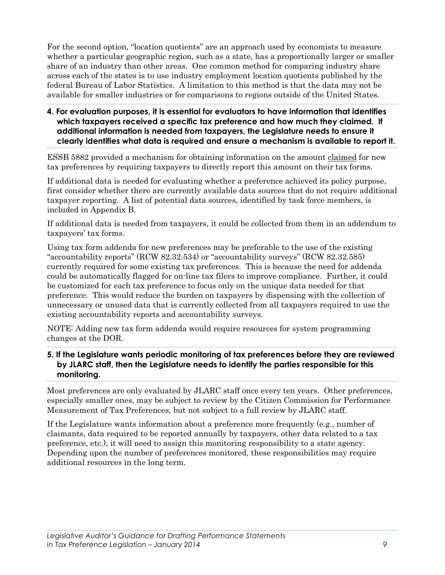For the second option, "location quotients" are an approach used by economists to measure whether a particular geographic region, such as a state, has a proportionally larger or smaller share of an industry than other areas. One common method for comparing industry share across each of the states is to use industry employment location quotients published by the federal Bureau of Labor Statistics. A limitation to this method is that the data may not be available for smaller industries or for comparisons to regions outside of the United States.

**4. For evaluation purposes, it is essential for evaluators to have information that identifies which taxpayers received a specific tax preference and how much they claimed. If additional information is needed from taxpayers, the Legislature needs to ensure it clearly identifies what data is required and ensure a mechanism is available to report it.**

ESSB 5882 provided a mechanism for obtaining information on the amount claimed for new tax preferences by requiring taxpayers to directly report this amount on their tax forms.

If additional data is needed for evaluating whether a preference achieved its policy purpose, first consider whether there are currently available data sources that do not require additional taxpayer reporting. A list of potential data sources, identified by task force members, is included in Appendix B.

If additional data is needed from taxpayers, it could be collected from them in an addendum to taxpayers' tax forms.

Using tax form addenda for new preferences may be preferable to the use of the existing "accountability reports" (RCW 82.32.534) or "accountability surveys" (RCW 82.32.585) currently required for some existing tax preferences. This is because the need for addenda could be automatically flagged for on-line tax filers to improve compliance. Further, it could be customized for each tax preference to focus only on the unique data needed for that preference. This would reduce the burden on taxpayers by dispensing with the collection of unnecessary or unused data that is currently collected from all taxpayers required to use the existing accountability reports and accountability surveys.

NOTE: Adding new tax form addenda would require resources for system programming changes at the DOR.

#### **5. If the Legislature wants periodic monitoring of tax preferences before they are reviewed by JLARC staff, then the Legislature needs to identify the parties responsible for this monitoring.**

Most preferences are only evaluated by JLARC staff once every ten years. Other preferences, especially smaller ones, may be subject to review by the Citizen Commission for Performance Measurement of Tax Preferences, but not subject to a full review by JLARC staff.

If the Legislature wants information about a preference more frequently (e.g., number of claimants, data required to be reported annually by taxpayers, other data related to a tax preference, etc.), it will need to assign this monitoring responsibility to a state agency. Depending upon the number of preferences monitored, these responsibilities may require additional resources in the long term.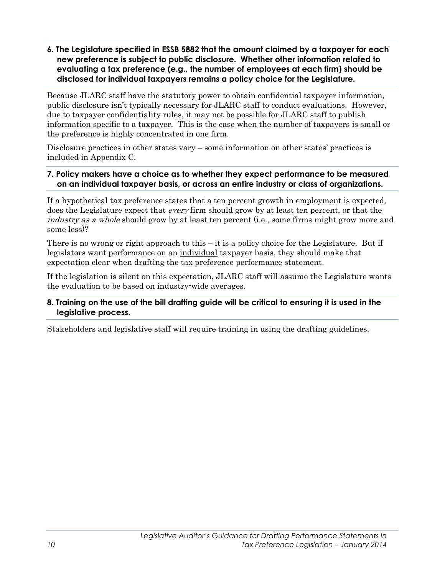**6. The Legislature specified in ESSB 5882 that the amount claimed by a taxpayer for each new preference is subject to public disclosure. Whether other information related to evaluating a tax preference (e.g., the number of employees at each firm) should be disclosed for individual taxpayers remains a policy choice for the Legislature.**

Because JLARC staff have the statutory power to obtain confidential taxpayer information, public disclosure isn't typically necessary for JLARC staff to conduct evaluations. However, due to taxpayer confidentiality rules, it may not be possible for JLARC staff to publish information specific to a taxpayer. This is the case when the number of taxpayers is small or the preference is highly concentrated in one firm.

Disclosure practices in other states vary – some information on other states' practices is included in Appendix C.

#### **7. Policy makers have a choice as to whether they expect performance to be measured on an individual taxpayer basis, or across an entire industry or class of organizations.**

If a hypothetical tax preference states that a ten percent growth in employment is expected, does the Legislature expect that every firm should grow by at least ten percent, or that the industry as a whole should grow by at least ten percent (i.e., some firms might grow more and some less)?

There is no wrong or right approach to this – it is a policy choice for the Legislature. But if legislators want performance on an individual taxpayer basis, they should make that expectation clear when drafting the tax preference performance statement.

If the legislation is silent on this expectation, JLARC staff will assume the Legislature wants the evaluation to be based on industry-wide averages.

#### **8. Training on the use of the bill drafting guide will be critical to ensuring it is used in the legislative process.**

Stakeholders and legislative staff will require training in using the drafting guidelines.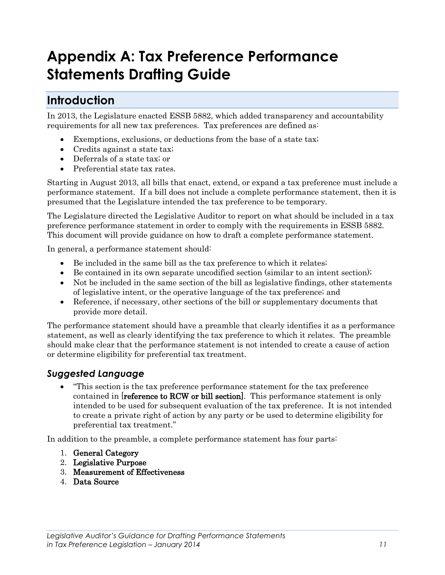# <span id="page-15-0"></span>**Appendix A: Tax Preference Performance Statements Drafting Guide**

### <span id="page-15-1"></span>**Introduction**

In 2013, the Legislature enacted ESSB 5882, which added transparency and accountability requirements for all new tax preferences. Tax preferences are defined as:

- Exemptions, exclusions, or deductions from the base of a state tax;
- Credits against a state tax;
- Deferrals of a state tax; or
- Preferential state tax rates.

Starting in August 2013, all bills that enact, extend, or expand a tax preference must include a performance statement. If a bill does not include a complete performance statement, then it is presumed that the Legislature intended the tax preference to be temporary.

The Legislature directed the Legislative Auditor to report on what should be included in a tax preference performance statement in order to comply with the requirements in ESSB 5882. This document will provide guidance on how to draft a complete performance statement.

In general, a performance statement should:

- Be included in the same bill as the tax preference to which it relates;
- Be contained in its own separate uncodified section (similar to an intent section);
- Not be included in the same section of the bill as legislative findings, other statements of legislative intent, or the operative language of the tax preference; and
- Reference, if necessary, other sections of the bill or supplementary documents that provide more detail.

The performance statement should have a preamble that clearly identifies it as a performance statement, as well as clearly identifying the tax preference to which it relates. The preamble should make clear that the performance statement is not intended to create a cause of action or determine eligibility for preferential tax treatment.

#### *Suggested Language*

• "This section is the tax preference performance statement for the tax preference contained in [reference to RCW or bill section]. This performance statement is only intended to be used for subsequent evaluation of the tax preference. It is not intended to create a private right of action by any party or be used to determine eligibility for preferential tax treatment."

In addition to the preamble, a complete performance statement has four parts:

- 1. General Category
- 2. Legislative Purpose
- 3. Measurement of Effectiveness
- 4. Data Source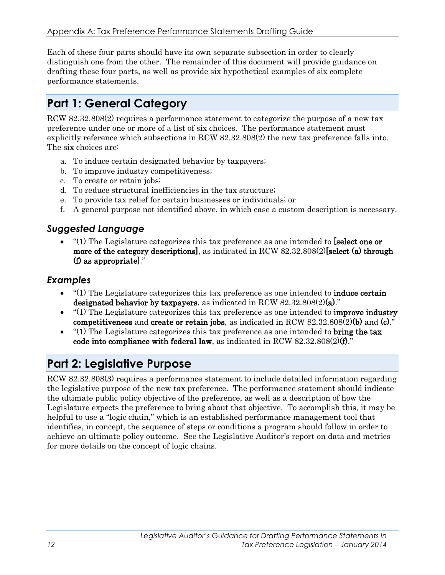Each of these four parts should have its own separate subsection in order to clearly distinguish one from the other. The remainder of this document will provide guidance on drafting these four parts, as well as provide six hypothetical examples of six complete performance statements.

### <span id="page-16-0"></span>**Part 1: General Category**

RCW 82.32.808(2) requires a performance statement to categorize the purpose of a new tax preference under one or more of a list of six choices. The performance statement must explicitly reference which subsections in RCW 82.32.808(2) the new tax preference falls into. The six choices are:

- a. To induce certain designated behavior by taxpayers;
- b. To improve industry competitiveness;
- c. To create or retain jobs;
- d. To reduce structural inefficiencies in the tax structure;
- e. To provide tax relief for certain businesses or individuals; or
- f. A general purpose not identified above, in which case a custom description is necessary.

#### *Suggested Language*

•  $(1)$  The Legislature categorizes this tax preference as one intended to [select one or more of the category descriptions], as indicated in RCW 82.32.808(2)[select (a) through (f) as appropriate]."

#### *Examples*

- $\bullet$  "(1) The Legislature categorizes this tax preference as one intended to **induce certain** designated behavior by taxpayers, as indicated in RCW  $82.32.808(2)(a)$ ."
- $(1)$  The Legislature categorizes this tax preference as one intended to **improve industry** competitiveness and create or retain jobs, as indicated in RCW  $82.32.808(2)$ (b) and (c)."
- " $(1)$  The Legislature categorizes this tax preference as one intended to **bring the tax** code into compliance with federal law, as indicated in RCW  $82.32.808(2)(f)$ ."

### <span id="page-16-1"></span>**Part 2: Legislative Purpose**

RCW 82.32.808(3) requires a performance statement to include detailed information regarding the legislative purpose of the new tax preference. The performance statement should indicate the ultimate public policy objective of the preference, as well as a description of how the Legislature expects the preference to bring about that objective. To accomplish this, it may be helpful to use a "logic chain," which is an established performance management tool that identifies, in concept, the sequence of steps or conditions a program should follow in order to achieve an ultimate policy outcome. See the Legislative Auditor's report on data and metrics for more details on the concept of logic chains.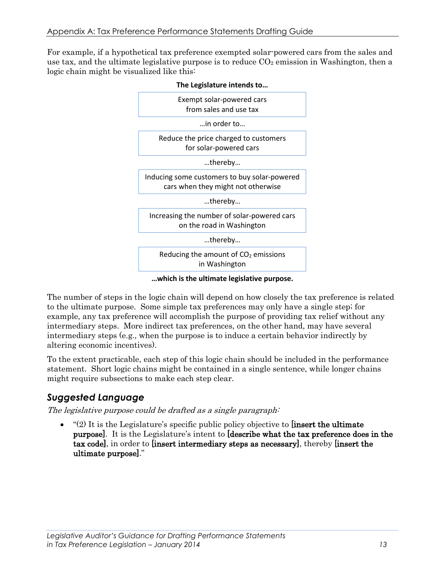For example, if a hypothetical tax preference exempted solar-powered cars from the sales and use tax, and the ultimate legislative purpose is to reduce  $CO<sub>2</sub>$  emission in Washington, then a logic chain might be visualized like this:



#### **The Legislature intends to…**

**…which is the ultimate legislative purpose.**

The number of steps in the logic chain will depend on how closely the tax preference is related to the ultimate purpose. Some simple tax preferences may only have a single step; for example, any tax preference will accomplish the purpose of providing tax relief without any intermediary steps. More indirect tax preferences, on the other hand, may have several intermediary steps (e.g., when the purpose is to induce a certain behavior indirectly by altering economic incentives).

To the extent practicable, each step of this logic chain should be included in the performance statement. Short logic chains might be contained in a single sentence, while longer chains might require subsections to make each step clear.

#### *Suggested Language*

The legislative purpose could be drafted as a single paragraph:

 $(2)$  It is the Legislature's specific public policy objective to **[insert the ultimate** purpose]. It is the Legislature's intent to [describe what the tax preference does in the tax code], in order to [insert intermediary steps as necessary], thereby [insert the ultimate purpose]."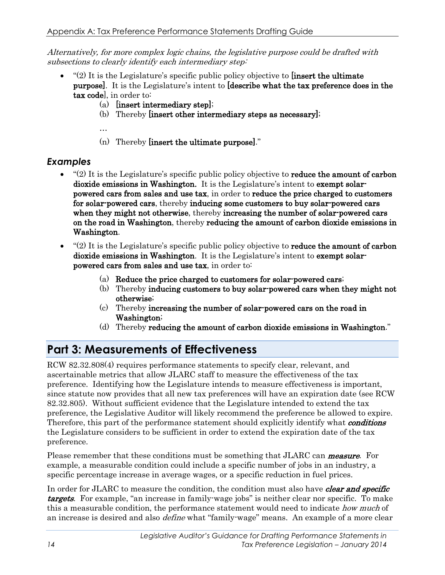Alternatively, for more complex logic chains, the legislative purpose could be drafted with subsections to clearly identify each intermediary step:

- $f(2)$  It is the Legislature's specific public policy objective to **[insert the ultimate** purpose]. It is the Legislature's intent to [describe what the tax preference does in the tax code], in order to:
	- (a) [insert intermediary step];
	- (b) Thereby [insert other intermediary steps as necessary];

…

(n) Thereby [insert the ultimate purpose]."

### *Examples*

- $(2)$  It is the Legislature's specific public policy objective to **reduce the amount of carbon** dioxide emissions in Washington. It is the Legislature's intent to exempt solarpowered cars from sales and use tax, in order to reduce the price charged to customers for solar-powered cars, thereby inducing some customers to buy solar-powered cars when they might not otherwise, thereby increasing the number of solar-powered cars on the road in Washington, thereby reducing the amount of carbon dioxide emissions in Washington.
- $\degree$ (2) It is the Legislature's specific public policy objective to **reduce the amount of carbon** dioxide emissions in Washington. It is the Legislature's intent to exempt solarpowered cars from sales and use tax, in order to:
	- (a) Reduce the price charged to customers for solar-powered cars;
	- (b) Thereby inducing customers to buy solar-powered cars when they might not otherwise;
	- (c) Thereby increasing the number of solar-powered cars on the road in Washington;
	- (d) Thereby reducing the amount of carbon dioxide emissions in Washington."

## <span id="page-18-0"></span>**Part 3: Measurements of Effectiveness**

RCW 82.32.808(4) requires performance statements to specify clear, relevant, and ascertainable metrics that allow JLARC staff to measure the effectiveness of the tax preference. Identifying how the Legislature intends to measure effectiveness is important, since statute now provides that all new tax preferences will have an expiration date (see RCW 82.32.805). Without sufficient evidence that the Legislature intended to extend the tax preference, the Legislative Auditor will likely recommend the preference be allowed to expire. Therefore, this part of the performance statement should explicitly identify what **conditions** the Legislature considers to be sufficient in order to extend the expiration date of the tax preference.

Please remember that these conditions must be something that JLARC can **measure**. For example, a measurable condition could include a specific number of jobs in an industry, a specific percentage increase in average wages, or a specific reduction in fuel prices.

In order for JLARC to measure the condition, the condition must also have *clear and specific* **targets**. For example, "an increase in family-wage jobs" is neither clear nor specific. To make this a measurable condition, the performance statement would need to indicate *how much* of an increase is desired and also *define* what "family-wage" means. An example of a more clear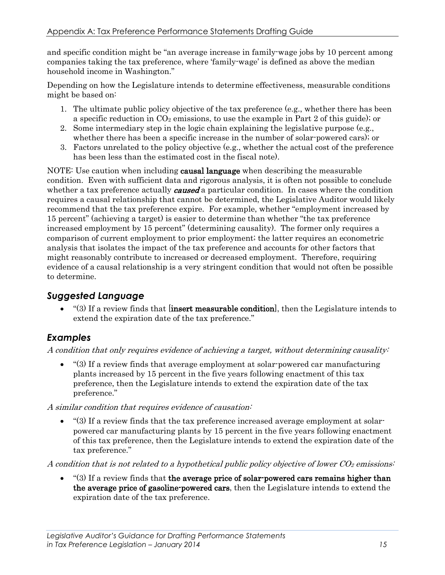and specific condition might be "an average increase in family-wage jobs by 10 percent among companies taking the tax preference, where 'family-wage' is defined as above the median household income in Washington."

Depending on how the Legislature intends to determine effectiveness, measurable conditions might be based on:

- 1. The ultimate public policy objective of the tax preference (e.g., whether there has been a specific reduction in  $CO<sub>2</sub>$  emissions, to use the example in Part 2 of this guide); or
- 2. Some intermediary step in the logic chain explaining the legislative purpose (e.g., whether there has been a specific increase in the number of solar-powered cars); or
- 3. Factors unrelated to the policy objective (e.g., whether the actual cost of the preference has been less than the estimated cost in the fiscal note).

NOTE: Use caution when including **causal language** when describing the measurable condition. Even with sufficient data and rigorous analysis, it is often not possible to conclude whether a tax preference actually *caused* a particular condition. In cases where the condition requires a causal relationship that cannot be determined, the Legislative Auditor would likely recommend that the tax preference expire. For example, whether "employment increased by 15 percent" (achieving a target) is easier to determine than whether "the tax preference increased employment by 15 percent" (determining causality). The former only requires a comparison of current employment to prior employment; the latter requires an econometric analysis that isolates the impact of the tax preference and accounts for other factors that might reasonably contribute to increased or decreased employment. Therefore, requiring evidence of a causal relationship is a very stringent condition that would not often be possible to determine.

#### *Suggested Language*

•  $(3)$  If a review finds that linsert measurable condition, then the Legislature intends to extend the expiration date of the tax preference."

#### *Examples*

A condition that only requires evidence of achieving a target, without determining causality:

• "(3) If a review finds that average employment at solar-powered car manufacturing plants increased by 15 percent in the five years following enactment of this tax preference, then the Legislature intends to extend the expiration date of the tax preference."

#### A similar condition that requires evidence of causation:

• "(3) If a review finds that the tax preference increased average employment at solarpowered car manufacturing plants by 15 percent in the five years following enactment of this tax preference, then the Legislature intends to extend the expiration date of the tax preference."

A condition that is not related to a hypothetical public policy objective of lower  $CO<sub>2</sub>$  emissions:

 $\bullet$  "(3) If a review finds that the average price of solar-powered cars remains higher than the average price of gasoline-powered cars, then the Legislature intends to extend the expiration date of the tax preference.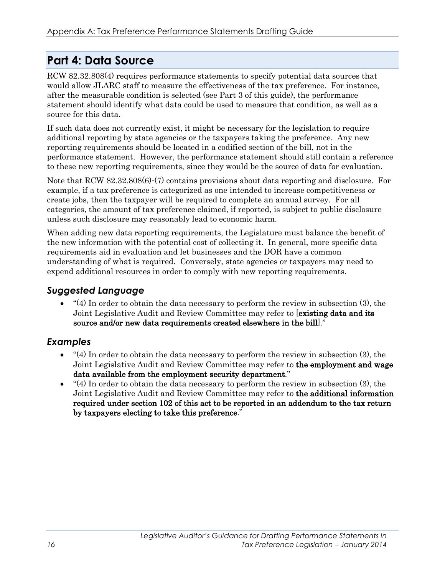### <span id="page-20-0"></span>**Part 4: Data Source**

RCW 82.32.808(4) requires performance statements to specify potential data sources that would allow JLARC staff to measure the effectiveness of the tax preference. For instance, after the measurable condition is selected (see Part 3 of this guide), the performance statement should identify what data could be used to measure that condition, as well as a source for this data.

If such data does not currently exist, it might be necessary for the legislation to require additional reporting by state agencies or the taxpayers taking the preference. Any new reporting requirements should be located in a codified section of the bill, not in the performance statement. However, the performance statement should still contain a reference to these new reporting requirements, since they would be the source of data for evaluation.

Note that RCW 82.32.808(6). (7) contains provisions about data reporting and disclosure. For example, if a tax preference is categorized as one intended to increase competitiveness or create jobs, then the taxpayer will be required to complete an annual survey. For all categories, the amount of tax preference claimed, if reported, is subject to public disclosure unless such disclosure may reasonably lead to economic harm.

When adding new data reporting requirements, the Legislature must balance the benefit of the new information with the potential cost of collecting it. In general, more specific data requirements aid in evaluation and let businesses and the DOR have a common understanding of what is required. Conversely, state agencies or taxpayers may need to expend additional resources in order to comply with new reporting requirements.

### *Suggested Language*

 $\bullet$  "(4) In order to obtain the data necessary to perform the review in subsection (3), the Joint Legislative Audit and Review Committee may refer to **existing data and its** source and/or new data requirements created elsewhere in the bill]."

#### *Examples*

- "(4) In order to obtain the data necessary to perform the review in subsection (3), the Joint Legislative Audit and Review Committee may refer to the employment and wage data available from the employment security department."
- $(4)$  In order to obtain the data necessary to perform the review in subsection (3), the Joint Legislative Audit and Review Committee may refer to the additional information required under section 102 of this act to be reported in an addendum to the tax return by taxpayers electing to take this preference."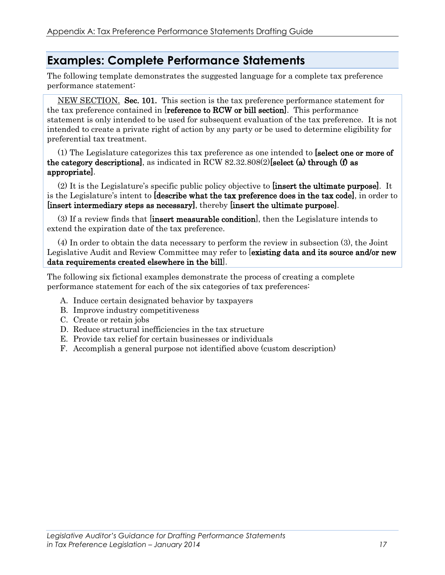### <span id="page-21-0"></span>**Examples: Complete Performance Statements**

The following template demonstrates the suggested language for a complete tax preference performance statement:

NEW SECTION. Sec. 101. This section is the tax preference performance statement for the tax preference contained in [reference to RCW or bill section]. This performance statement is only intended to be used for subsequent evaluation of the tax preference. It is not intended to create a private right of action by any party or be used to determine eligibility for preferential tax treatment.

(1) The Legislature categorizes this tax preference as one intended to [select one or more of the category descriptions], as indicated in RCW  $82.32.808(2)$ [select (a) through (f) as appropriate].

(2) It is the Legislature's specific public policy objective to [insert the ultimate purpose]. It is the Legislature's intent to [describe what the tax preference does in the tax code], in order to [insert intermediary steps as necessary], thereby [insert the ultimate purpose].

(3) If a review finds that [insert measurable condition], then the Legislature intends to extend the expiration date of the tax preference.

(4) In order to obtain the data necessary to perform the review in subsection (3), the Joint Legislative Audit and Review Committee may refer to [existing data and its source and/or new data requirements created elsewhere in the bill].

The following six fictional examples demonstrate the process of creating a complete performance statement for each of the six categories of tax preferences:

- A. Induce certain designated behavior by taxpayers
- B. Improve industry competitiveness
- C. Create or retain jobs
- D. Reduce structural inefficiencies in the tax structure
- E. Provide tax relief for certain businesses or individuals
- F. Accomplish a general purpose not identified above (custom description)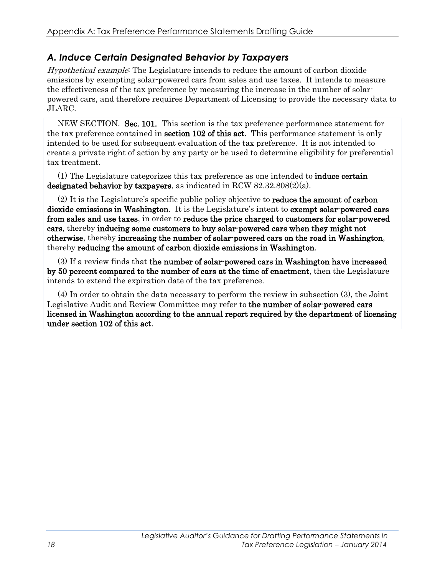### *A. Induce Certain Designated Behavior by Taxpayers*

Hypothetical example: The Legislature intends to reduce the amount of carbon dioxide emissions by exempting solar-powered cars from sales and use taxes. It intends to measure the effectiveness of the tax preference by measuring the increase in the number of solarpowered cars, and therefore requires Department of Licensing to provide the necessary data to JLARC.

NEW SECTION. Sec. 101. This section is the tax preference performance statement for the tax preference contained in **section 102 of this act**. This performance statement is only intended to be used for subsequent evaluation of the tax preference. It is not intended to create a private right of action by any party or be used to determine eligibility for preferential tax treatment.

(1) The Legislature categorizes this tax preference as one intended to induce certain designated behavior by taxpayers, as indicated in RCW  $82.32.808(2)(a)$ .

(2) It is the Legislature's specific public policy objective to reduce the amount of carbon dioxide emissions in Washington. It is the Legislature's intent to exempt solar-powered cars from sales and use taxes, in order to reduce the price charged to customers for solar-powered cars, thereby inducing some customers to buy solar-powered cars when they might not otherwise, thereby increasing the number of solar-powered cars on the road in Washington, thereby reducing the amount of carbon dioxide emissions in Washington.

(3) If a review finds that the number of solar-powered cars in Washington have increased by 50 percent compared to the number of cars at the time of enactment, then the Legislature intends to extend the expiration date of the tax preference.

(4) In order to obtain the data necessary to perform the review in subsection (3), the Joint Legislative Audit and Review Committee may refer to the number of solar-powered cars licensed in Washington according to the annual report required by the department of licensing under section 102 of this act.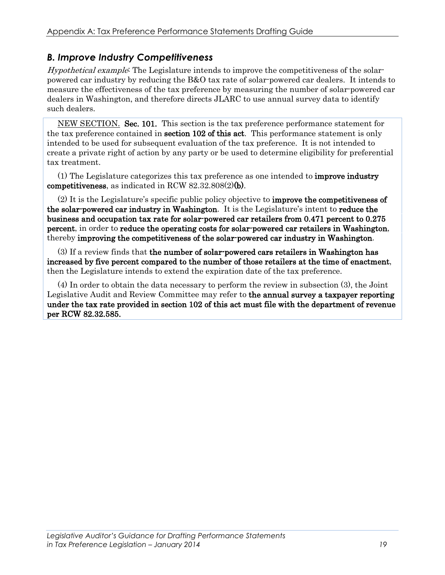### *B. Improve Industry Competitiveness*

Hypothetical example: The Legislature intends to improve the competitiveness of the solarpowered car industry by reducing the B&O tax rate of solar-powered car dealers. It intends to measure the effectiveness of the tax preference by measuring the number of solar-powered car dealers in Washington, and therefore directs JLARC to use annual survey data to identify such dealers.

NEW SECTION. Sec. 101. This section is the tax preference performance statement for the tax preference contained in **section 102 of this act**. This performance statement is only intended to be used for subsequent evaluation of the tax preference. It is not intended to create a private right of action by any party or be used to determine eligibility for preferential tax treatment.

(1) The Legislature categorizes this tax preference as one intended to improve industry competitiveness, as indicated in RCW 82.32.808(2)(b).

(2) It is the Legislature's specific public policy objective to improve the competitiveness of the solar-powered car industry in Washington. It is the Legislature's intent to reduce the business and occupation tax rate for solar-powered car retailers from 0.471 percent to 0.275 percent, in order to reduce the operating costs for solar-powered car retailers in Washington, thereby improving the competitiveness of the solar-powered car industry in Washington.

(3) If a review finds that the number of solar-powered cars retailers in Washington has increased by five percent compared to the number of those retailers at the time of enactment, then the Legislature intends to extend the expiration date of the tax preference.

(4) In order to obtain the data necessary to perform the review in subsection (3), the Joint Legislative Audit and Review Committee may refer to the annual survey a taxpayer reporting under the tax rate provided in section 102 of this act must file with the department of revenue per RCW 82.32.585.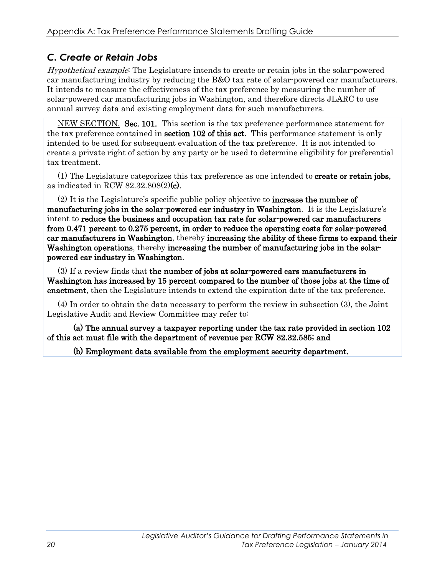### *C. Create or Retain Jobs*

Hypothetical example: The Legislature intends to create or retain jobs in the solar-powered car manufacturing industry by reducing the B&O tax rate of solar-powered car manufacturers. It intends to measure the effectiveness of the tax preference by measuring the number of solar-powered car manufacturing jobs in Washington, and therefore directs JLARC to use annual survey data and existing employment data for such manufacturers.

NEW SECTION. Sec. 101. This section is the tax preference performance statement for the tax preference contained in **section 102 of this act**. This performance statement is only intended to be used for subsequent evaluation of the tax preference. It is not intended to create a private right of action by any party or be used to determine eligibility for preferential tax treatment.

(1) The Legislature categorizes this tax preference as one intended to create or retain jobs, as indicated in RCW 82.32.808(2)(c).

(2) It is the Legislature's specific public policy objective to increase the number of manufacturing jobs in the solar-powered car industry in Washington. It is the Legislature's intent to reduce the business and occupation tax rate for solar-powered car manufacturers from 0.471 percent to 0.275 percent, in order to reduce the operating costs for solar-powered car manufacturers in Washington, thereby increasing the ability of these firms to expand their Washington operations, thereby increasing the number of manufacturing jobs in the solarpowered car industry in Washington.

(3) If a review finds that the number of jobs at solar-powered cars manufacturers in Washington has increased by 15 percent compared to the number of those jobs at the time of enactment, then the Legislature intends to extend the expiration date of the tax preference.

(4) In order to obtain the data necessary to perform the review in subsection (3), the Joint Legislative Audit and Review Committee may refer to:

(a) The annual survey a taxpayer reporting under the tax rate provided in section 102 of this act must file with the department of revenue per RCW 82.32.585; and

(b) Employment data available from the employment security department.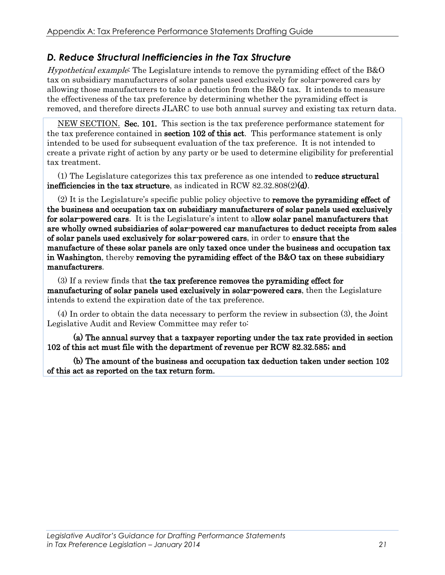#### *D. Reduce Structural Inefficiencies in the Tax Structure*

Hypothetical example: The Legislature intends to remove the pyramiding effect of the B&O tax on subsidiary manufacturers of solar panels used exclusively for solar-powered cars by allowing those manufacturers to take a deduction from the B&O tax. It intends to measure the effectiveness of the tax preference by determining whether the pyramiding effect is removed, and therefore directs JLARC to use both annual survey and existing tax return data.

NEW SECTION. Sec. 101. This section is the tax preference performance statement for the tax preference contained in **section 102 of this act**. This performance statement is only intended to be used for subsequent evaluation of the tax preference. It is not intended to create a private right of action by any party or be used to determine eligibility for preferential tax treatment.

(1) The Legislature categorizes this tax preference as one intended to reduce structural inefficiencies in the tax structure, as indicated in RCW 82.32.808(2)(d).

(2) It is the Legislature's specific public policy objective to remove the pyramiding effect of the business and occupation tax on subsidiary manufacturers of solar panels used exclusively for solar-powered cars. It is the Legislature's intent to allow solar panel manufacturers that are wholly owned subsidiaries of solar-powered car manufactures to deduct receipts from sales of solar panels used exclusively for solar-powered cars, in order to ensure that the manufacture of these solar panels are only taxed once under the business and occupation tax in Washington, thereby removing the pyramiding effect of the B&O tax on these subsidiary manufacturers.

(3) If a review finds that the tax preference removes the pyramiding effect for manufacturing of solar panels used exclusively in solar-powered cars, then the Legislature intends to extend the expiration date of the tax preference.

(4) In order to obtain the data necessary to perform the review in subsection (3), the Joint Legislative Audit and Review Committee may refer to:

(a) The annual survey that a taxpayer reporting under the tax rate provided in section 102 of this act must file with the department of revenue per RCW 82.32.585; and

 (b) The amount of the business and occupation tax deduction taken under section 102 of this act as reported on the tax return form.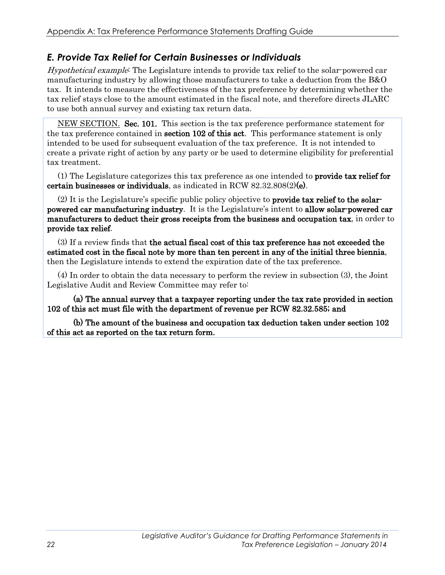### *E. Provide Tax Relief for Certain Businesses or Individuals*

Hypothetical example: The Legislature intends to provide tax relief to the solar-powered car manufacturing industry by allowing those manufacturers to take a deduction from the B&O tax. It intends to measure the effectiveness of the tax preference by determining whether the tax relief stays close to the amount estimated in the fiscal note, and therefore directs JLARC to use both annual survey and existing tax return data.

NEW SECTION. Sec. 101. This section is the tax preference performance statement for the tax preference contained in **section 102 of this act**. This performance statement is only intended to be used for subsequent evaluation of the tax preference. It is not intended to create a private right of action by any party or be used to determine eligibility for preferential tax treatment.

(1) The Legislature categorizes this tax preference as one intended to provide tax relief for certain businesses or individuals, as indicated in RCW  $82.32.808(2)(e)$ .

(2) It is the Legislature's specific public policy objective to provide tax relief to the solarpowered car manufacturing industry. It is the Legislature's intent to allow solar-powered car manufacturers to deduct their gross receipts from the business and occupation tax, in order to provide tax relief.

(3) If a review finds that the actual fiscal cost of this tax preference has not exceeded the estimated cost in the fiscal note by more than ten percent in any of the initial three biennia, then the Legislature intends to extend the expiration date of the tax preference.

(4) In order to obtain the data necessary to perform the review in subsection (3), the Joint Legislative Audit and Review Committee may refer to:

(a) The annual survey that a taxpayer reporting under the tax rate provided in section 102 of this act must file with the department of revenue per RCW 82.32.585; and

 (b) The amount of the business and occupation tax deduction taken under section 102 of this act as reported on the tax return form.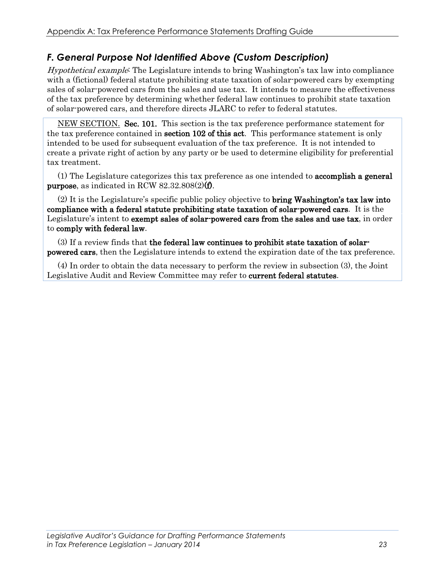### *F. General Purpose Not Identified Above (Custom Description)*

Hypothetical example: The Legislature intends to bring Washington's tax law into compliance with a (fictional) federal statute prohibiting state taxation of solar-powered cars by exempting sales of solar-powered cars from the sales and use tax. It intends to measure the effectiveness of the tax preference by determining whether federal law continues to prohibit state taxation of solar-powered cars, and therefore directs JLARC to refer to federal statutes.

NEW SECTION. Sec. 101. This section is the tax preference performance statement for the tax preference contained in **section 102 of this act**. This performance statement is only intended to be used for subsequent evaluation of the tax preference. It is not intended to create a private right of action by any party or be used to determine eligibility for preferential tax treatment.

(1) The Legislature categorizes this tax preference as one intended to accomplish a general purpose, as indicated in RCW 82.32.808(2)(f).

(2) It is the Legislature's specific public policy objective to bring Washington's tax law into compliance with a federal statute prohibiting state taxation of solar-powered cars. It is the Legislature's intent to **exempt sales of solar-powered cars from the sales and use tax**, in order to comply with federal law.

(3) If a review finds that the federal law continues to prohibit state taxation of solarpowered cars, then the Legislature intends to extend the expiration date of the tax preference.

(4) In order to obtain the data necessary to perform the review in subsection (3), the Joint Legislative Audit and Review Committee may refer to current federal statutes.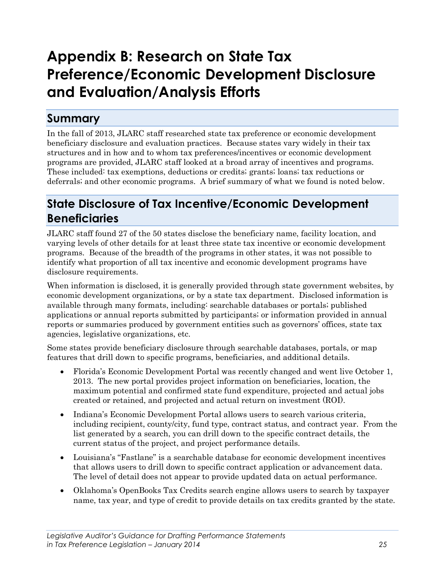# <span id="page-29-0"></span>**Appendix B: Research on State Tax Preference/Economic Development Disclosure and Evaluation/Analysis Efforts**

### <span id="page-29-1"></span>**Summary**

In the fall of 2013, JLARC staff researched state tax preference or economic development beneficiary disclosure and evaluation practices. Because states vary widely in their tax structures and in how and to whom tax preferences/incentives or economic development programs are provided, JLARC staff looked at a broad array of incentives and programs. These included: tax exemptions, deductions or credits; grants; loans; tax reductions or deferrals; and other economic programs. A brief summary of what we found is noted below.

### <span id="page-29-2"></span>**State Disclosure of Tax Incentive/Economic Development Beneficiaries**

JLARC staff found 27 of the 50 states disclose the beneficiary name, facility location, and varying levels of other details for at least three state tax incentive or economic development programs. Because of the breadth of the programs in other states, it was not possible to identify what proportion of all tax incentive and economic development programs have disclosure requirements.

When information is disclosed, it is generally provided through state government websites, by economic development organizations, or by a state tax department. Disclosed information is available through many formats, including: searchable databases or portals; published applications or annual reports submitted by participants; or information provided in annual reports or summaries produced by government entities such as governors' offices, state tax agencies, legislative organizations, etc.

Some states provide beneficiary disclosure through searchable databases, portals, or map features that drill down to specific programs, beneficiaries, and additional details.

- Florida's Economic Development Portal was recently changed and went live October 1, 2013. The new portal provides project information on beneficiaries, location, the maximum potential and confirmed state fund expenditure, projected and actual jobs created or retained, and projected and actual return on investment (ROI).
- Indiana's Economic Development Portal allows users to search various criteria, including recipient, county/city, fund type, contract status, and contract year. From the list generated by a search, you can drill down to the specific contract details, the current status of the project, and project performance details.
- Louisiana's "Fastlane" is a searchable database for economic development incentives that allows users to drill down to specific contract application or advancement data. The level of detail does not appear to provide updated data on actual performance.
- Oklahoma's OpenBooks Tax Credits search engine allows users to search by taxpayer name, tax year, and type of credit to provide details on tax credits granted by the state.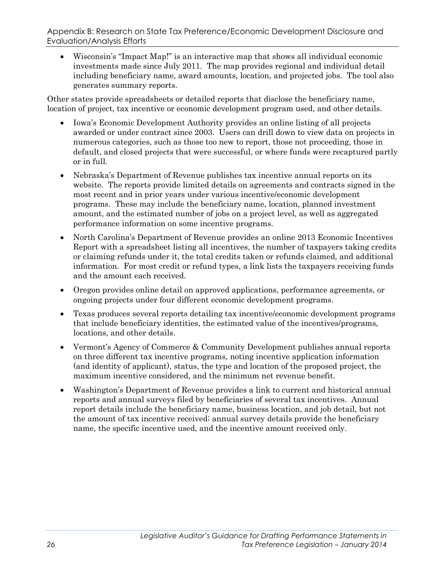Appendix B: Research on State Tax Preference/Economic Development Disclosure and Evaluation/Analysis Efforts

• Wisconsin's "Impact Map!" is an interactive map that shows all individual economic investments made since July 2011. The map provides regional and individual detail including beneficiary name, award amounts, location, and projected jobs. The tool also generates summary reports.

Other states provide spreadsheets or detailed reports that disclose the beneficiary name, location of project, tax incentive or economic development program used, and other details.

- Iowa's Economic Development Authority provides an online listing of all projects awarded or under contract since 2003. Users can drill down to view data on projects in numerous categories, such as those too new to report, those not proceeding, those in default, and closed projects that were successful, or where funds were recaptured partly or in full.
- Nebraska's Department of Revenue publishes tax incentive annual reports on its website. The reports provide limited details on agreements and contracts signed in the most recent and in prior years under various incentive/economic development programs. These may include the beneficiary name, location, planned investment amount, and the estimated number of jobs on a project level, as well as aggregated performance information on some incentive programs.
- North Carolina's Department of Revenue provides an online 2013 Economic Incentives Report with a spreadsheet listing all incentives, the number of taxpayers taking credits or claiming refunds under it, the total credits taken or refunds claimed, and additional information. For most credit or refund types, a link lists the taxpayers receiving funds and the amount each received.
- Oregon provides online detail on approved applications, performance agreements, or ongoing projects under four different economic development programs.
- Texas produces several reports detailing tax incentive/economic development programs that include beneficiary identities, the estimated value of the incentives/programs, locations, and other details.
- Vermont's Agency of Commerce & Community Development publishes annual reports on three different tax incentive programs, noting incentive application information (and identity of applicant), status, the type and location of the proposed project, the maximum incentive considered, and the minimum net revenue benefit.
- <span id="page-30-0"></span>• Washington's Department of Revenue provides a link to current and historical annual reports and annual surveys filed by beneficiaries of several tax incentives. Annual report details include the beneficiary name, business location, and job detail, but not the amount of tax incentive received; annual survey details provide the beneficiary name, the specific incentive used, and the incentive amount received only.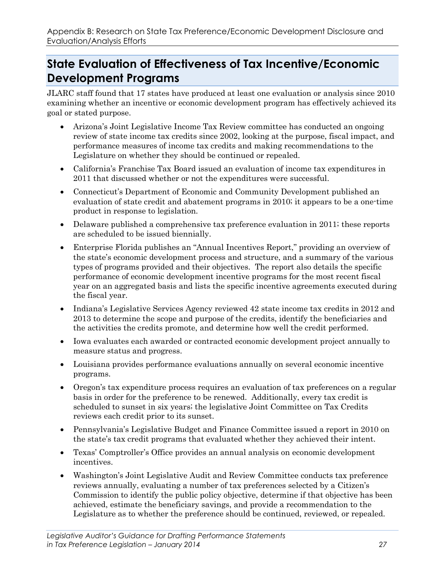### **State Evaluation of Effectiveness of Tax Incentive/Economic Development Programs**

JLARC staff found that 17 states have produced at least one evaluation or analysis since 2010 examining whether an incentive or economic development program has effectively achieved its goal or stated purpose.

- Arizona's Joint Legislative Income Tax Review committee has conducted an ongoing review of state income tax credits since 2002, looking at the purpose, fiscal impact, and performance measures of income tax credits and making recommendations to the Legislature on whether they should be continued or repealed.
- California's Franchise Tax Board issued an evaluation of income tax expenditures in 2011 that discussed whether or not the expenditures were successful.
- Connecticut's Department of Economic and Community Development published an evaluation of state credit and abatement programs in 2010; it appears to be a one-time product in response to legislation.
- Delaware published a comprehensive tax preference evaluation in 2011; these reports are scheduled to be issued biennially.
- Enterprise Florida publishes an "Annual Incentives Report," providing an overview of the state's economic development process and structure, and a summary of the various types of programs provided and their objectives. The report also details the specific performance of economic development incentive programs for the most recent fiscal year on an aggregated basis and lists the specific incentive agreements executed during the fiscal year.
- Indiana's Legislative Services Agency reviewed 42 state income tax credits in 2012 and 2013 to determine the scope and purpose of the credits, identify the beneficiaries and the activities the credits promote, and determine how well the credit performed.
- Iowa evaluates each awarded or contracted economic development project annually to measure status and progress.
- Louisiana provides performance evaluations annually on several economic incentive programs.
- Oregon's tax expenditure process requires an evaluation of tax preferences on a regular basis in order for the preference to be renewed. Additionally, every tax credit is scheduled to sunset in six years; the legislative Joint Committee on Tax Credits reviews each credit prior to its sunset.
- Pennsylvania's Legislative Budget and Finance Committee issued a report in 2010 on the state's tax credit programs that evaluated whether they achieved their intent.
- Texas' Comptroller's Office provides an annual analysis on economic development incentives.
- Washington's Joint Legislative Audit and Review Committee conducts tax preference reviews annually, evaluating a number of tax preferences selected by a Citizen's Commission to identify the public policy objective, determine if that objective has been achieved, estimate the beneficiary savings, and provide a recommendation to the Legislature as to whether the preference should be continued, reviewed, or repealed.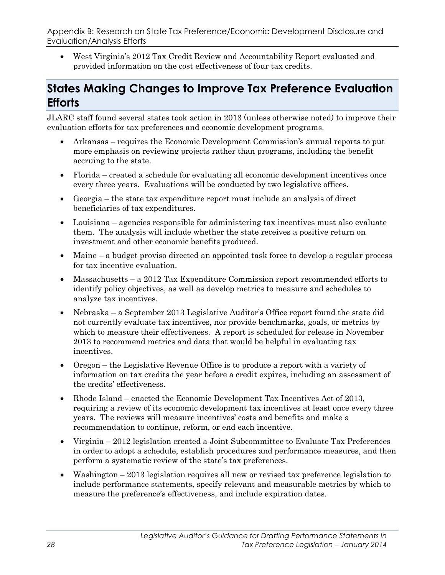Appendix B: Research on State Tax Preference/Economic Development Disclosure and Evaluation/Analysis Efforts

• West Virginia's 2012 Tax Credit Review and Accountability Report evaluated and provided information on the cost effectiveness of four tax credits.

### <span id="page-32-0"></span>**States Making Changes to Improve Tax Preference Evaluation Efforts**

JLARC staff found several states took action in 2013 (unless otherwise noted) to improve their evaluation efforts for tax preferences and economic development programs.

- Arkansas requires the Economic Development Commission's annual reports to put more emphasis on reviewing projects rather than programs, including the benefit accruing to the state.
- Florida created a schedule for evaluating all economic development incentives once every three years. Evaluations will be conducted by two legislative offices.
- Georgia the state tax expenditure report must include an analysis of direct beneficiaries of tax expenditures.
- Louisiana agencies responsible for administering tax incentives must also evaluate them. The analysis will include whether the state receives a positive return on investment and other economic benefits produced.
- Maine a budget proviso directed an appointed task force to develop a regular process for tax incentive evaluation.
- Massachusetts a 2012 Tax Expenditure Commission report recommended efforts to identify policy objectives, as well as develop metrics to measure and schedules to analyze tax incentives.
- Nebraska a September 2013 Legislative Auditor's Office report found the state did not currently evaluate tax incentives, nor provide benchmarks, goals, or metrics by which to measure their effectiveness. A report is scheduled for release in November 2013 to recommend metrics and data that would be helpful in evaluating tax incentives.
- Oregon the Legislative Revenue Office is to produce a report with a variety of information on tax credits the year before a credit expires, including an assessment of the credits' effectiveness.
- Rhode Island enacted the Economic Development Tax Incentives Act of 2013, requiring a review of its economic development tax incentives at least once every three years. The reviews will measure incentives' costs and benefits and make a recommendation to continue, reform, or end each incentive.
- Virginia 2012 legislation created a Joint Subcommittee to Evaluate Tax Preferences in order to adopt a schedule, establish procedures and performance measures, and then perform a systematic review of the state's tax preferences.
- Washington 2013 legislation requires all new or revised tax preference legislation to include performance statements, specify relevant and measurable metrics by which to measure the preference's effectiveness, and include expiration dates.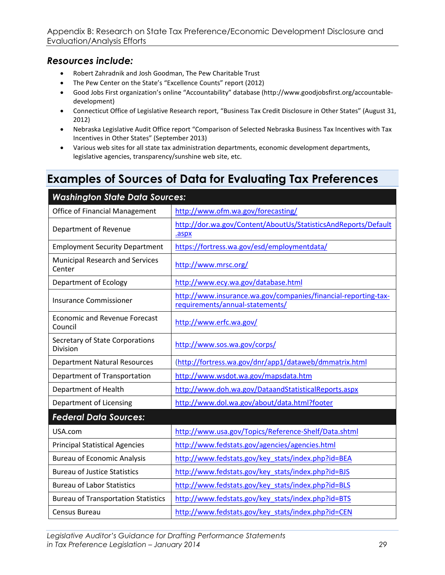#### *Resources include:*

- Robert Zahradnik and Josh Goodman, The Pew Charitable Trust
- The Pew Center on the State's "Excellence Counts" report (2012)
- Good Jobs First organization's online "Accountability" database (http://www.goodjobsfirst.org/accountabledevelopment)
- Connecticut Office of Legislative Research report, "Business Tax Credit Disclosure in Other States" (August 31, 2012)
- Nebraska Legislative Audit Office report "Comparison of Selected Nebraska Business Tax Incentives with Tax Incentives in Other States" (September 2013)
- Various web sites for all state tax administration departments, economic development departments, legislative agencies, transparency/sunshine web site, etc.

### <span id="page-33-0"></span>**Examples of Sources of Data for Evaluating Tax Preferences**

| <b>Washington State Data Sources:</b>           |                                                                                                   |  |  |  |  |
|-------------------------------------------------|---------------------------------------------------------------------------------------------------|--|--|--|--|
| Office of Financial Management                  | http://www.ofm.wa.gov/forecasting/                                                                |  |  |  |  |
| Department of Revenue                           | http://dor.wa.gov/Content/AboutUs/StatisticsAndReports/Default<br>.aspx                           |  |  |  |  |
| <b>Employment Security Department</b>           | https://fortress.wa.gov/esd/employmentdata/                                                       |  |  |  |  |
| Municipal Research and Services<br>Center       | http://www.mrsc.org/                                                                              |  |  |  |  |
| Department of Ecology                           | http://www.ecy.wa.gov/database.html                                                               |  |  |  |  |
| <b>Insurance Commissioner</b>                   | http://www.insurance.wa.gov/companies/financial-reporting-tax-<br>requirements/annual-statements/ |  |  |  |  |
| <b>Economic and Revenue Forecast</b><br>Council | http://www.erfc.wa.gov/                                                                           |  |  |  |  |
| Secretary of State Corporations<br>Division     | http://www.sos.wa.gov/corps/                                                                      |  |  |  |  |
| <b>Department Natural Resources</b>             | (http://fortress.wa.gov/dnr/app1/dataweb/dmmatrix.html                                            |  |  |  |  |
| Department of Transportation                    | http://www.wsdot.wa.gov/mapsdata.htm                                                              |  |  |  |  |
| Department of Health                            | http://www.doh.wa.gov/DataandStatisticalReports.aspx                                              |  |  |  |  |
| Department of Licensing                         | http://www.dol.wa.gov/about/data.html?footer                                                      |  |  |  |  |
| <b>Federal Data Sources:</b>                    |                                                                                                   |  |  |  |  |
| USA.com                                         | http://www.usa.gov/Topics/Reference-Shelf/Data.shtml                                              |  |  |  |  |
| <b>Principal Statistical Agencies</b>           | http://www.fedstats.gov/agencies/agencies.html                                                    |  |  |  |  |
| <b>Bureau of Economic Analysis</b>              | http://www.fedstats.gov/key stats/index.php?id=BEA                                                |  |  |  |  |
| <b>Bureau of Justice Statistics</b>             | http://www.fedstats.gov/key_stats/index.php?id=BJS                                                |  |  |  |  |
| <b>Bureau of Labor Statistics</b>               | http://www.fedstats.gov/key_stats/index.php?id=BLS                                                |  |  |  |  |
| <b>Bureau of Transportation Statistics</b>      | http://www.fedstats.gov/key_stats/index.php?id=BTS                                                |  |  |  |  |
| Census Bureau                                   | http://www.fedstats.gov/key stats/index.php?id=CEN                                                |  |  |  |  |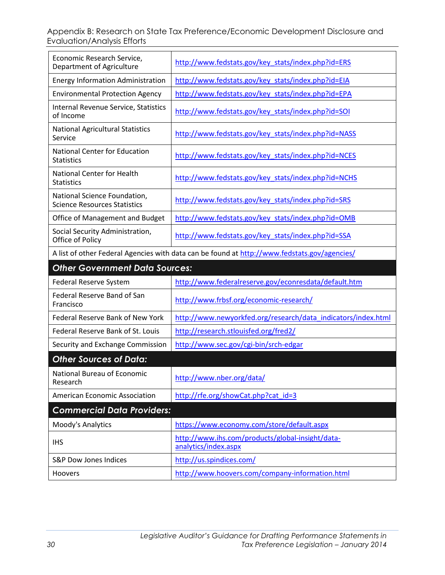Appendix B: Research on State Tax Preference/Economic Development Disclosure and Evaluation/Analysis Efforts

| Economic Research Service,<br>Department of Agriculture                                      | http://www.fedstats.gov/key_stats/index.php?id=ERS                       |  |  |  |
|----------------------------------------------------------------------------------------------|--------------------------------------------------------------------------|--|--|--|
| <b>Energy Information Administration</b>                                                     | http://www.fedstats.gov/key_stats/index.php?id=EIA                       |  |  |  |
| <b>Environmental Protection Agency</b>                                                       | http://www.fedstats.gov/key_stats/index.php?id=EPA                       |  |  |  |
| Internal Revenue Service, Statistics<br>of Income                                            | http://www.fedstats.gov/key_stats/index.php?id=SOI                       |  |  |  |
| <b>National Agricultural Statistics</b><br>Service                                           | http://www.fedstats.gov/key_stats/index.php?id=NASS                      |  |  |  |
| <b>National Center for Education</b><br><b>Statistics</b>                                    | http://www.fedstats.gov/key_stats/index.php?id=NCES                      |  |  |  |
| <b>National Center for Health</b><br><b>Statistics</b>                                       | http://www.fedstats.gov/key_stats/index.php?id=NCHS                      |  |  |  |
| National Science Foundation,<br><b>Science Resources Statistics</b>                          | http://www.fedstats.gov/key stats/index.php?id=SRS                       |  |  |  |
| Office of Management and Budget                                                              | http://www.fedstats.gov/key_stats/index.php?id=OMB                       |  |  |  |
| Social Security Administration,<br>Office of Policy                                          | http://www.fedstats.gov/key stats/index.php?id=SSA                       |  |  |  |
| A list of other Federal Agencies with data can be found at http://www.fedstats.gov/agencies/ |                                                                          |  |  |  |
| <b>Other Government Data Sources:</b>                                                        |                                                                          |  |  |  |
|                                                                                              |                                                                          |  |  |  |
| Federal Reserve System                                                                       | http://www.federalreserve.gov/econresdata/default.htm                    |  |  |  |
| Federal Reserve Band of San<br>Francisco                                                     | http://www.frbsf.org/economic-research/                                  |  |  |  |
| Federal Reserve Bank of New York                                                             | http://www.newyorkfed.org/research/data_indicators/index.html            |  |  |  |
| Federal Reserve Bank of St. Louis                                                            | http://research.stlouisfed.org/fred2/                                    |  |  |  |
| Security and Exchange Commission                                                             | http://www.sec.gov/cgi-bin/srch-edgar                                    |  |  |  |
| <b>Other Sources of Data:</b>                                                                |                                                                          |  |  |  |
| National Bureau of Economic<br>Research                                                      | http://www.nber.org/data/                                                |  |  |  |
| <b>American Economic Association</b>                                                         | http://rfe.org/showCat.php?cat_id=3                                      |  |  |  |
| <b>Commercial Data Providers:</b>                                                            |                                                                          |  |  |  |
| Moody's Analytics                                                                            | https://www.economy.com/store/default.aspx                               |  |  |  |
| <b>IHS</b>                                                                                   | http://www.ihs.com/products/global-insight/data-<br>analytics/index.aspx |  |  |  |
| <b>S&amp;P Dow Jones Indices</b>                                                             | http://us.spindices.com/                                                 |  |  |  |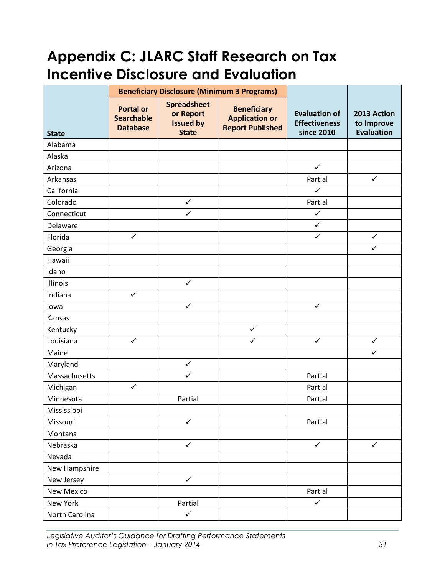# <span id="page-35-0"></span>**Appendix C: JLARC Staff Research on Tax Incentive Disclosure and Evaluation**

|                   | <b>Beneficiary Disclosure (Minimum 3 Programs)</b>       |                                                                     |                                                                        |                                                            |                                                |
|-------------------|----------------------------------------------------------|---------------------------------------------------------------------|------------------------------------------------------------------------|------------------------------------------------------------|------------------------------------------------|
| <b>State</b>      | <b>Portal or</b><br><b>Searchable</b><br><b>Database</b> | <b>Spreadsheet</b><br>or Report<br><b>Issued by</b><br><b>State</b> | <b>Beneficiary</b><br><b>Application or</b><br><b>Report Published</b> | <b>Evaluation of</b><br><b>Effectiveness</b><br>since 2010 | 2013 Action<br>to Improve<br><b>Evaluation</b> |
| Alabama           |                                                          |                                                                     |                                                                        |                                                            |                                                |
| Alaska            |                                                          |                                                                     |                                                                        |                                                            |                                                |
| Arizona           |                                                          |                                                                     |                                                                        | $\checkmark$                                               |                                                |
| Arkansas          |                                                          |                                                                     |                                                                        | Partial                                                    | $\checkmark$                                   |
| California        |                                                          |                                                                     |                                                                        | $\checkmark$                                               |                                                |
| Colorado          |                                                          | $\checkmark$                                                        |                                                                        | Partial                                                    |                                                |
| Connecticut       |                                                          | $\checkmark$                                                        |                                                                        | $\checkmark$                                               |                                                |
| Delaware          |                                                          |                                                                     |                                                                        | $\checkmark$                                               |                                                |
| Florida           | $\checkmark$                                             |                                                                     |                                                                        | $\checkmark$                                               | $\checkmark$                                   |
| Georgia           |                                                          |                                                                     |                                                                        |                                                            | $\checkmark$                                   |
| Hawaii            |                                                          |                                                                     |                                                                        |                                                            |                                                |
| Idaho             |                                                          |                                                                     |                                                                        |                                                            |                                                |
| Illinois          |                                                          | $\checkmark$                                                        |                                                                        |                                                            |                                                |
| Indiana           | $\checkmark$                                             |                                                                     |                                                                        |                                                            |                                                |
| lowa              |                                                          | $\checkmark$                                                        |                                                                        | $\checkmark$                                               |                                                |
| Kansas            |                                                          |                                                                     |                                                                        |                                                            |                                                |
| Kentucky          |                                                          |                                                                     | $\checkmark$                                                           |                                                            |                                                |
| Louisiana         | $\checkmark$                                             |                                                                     | ✓                                                                      | $\checkmark$                                               | $\checkmark$                                   |
| Maine             |                                                          |                                                                     |                                                                        |                                                            | $\checkmark$                                   |
| Maryland          |                                                          | $\checkmark$                                                        |                                                                        |                                                            |                                                |
| Massachusetts     |                                                          | $\checkmark$                                                        |                                                                        | Partial                                                    |                                                |
| Michigan          | $\checkmark$                                             |                                                                     |                                                                        | Partial                                                    |                                                |
| Minnesota         |                                                          | Partial                                                             |                                                                        | Partial                                                    |                                                |
| Mississippi       |                                                          |                                                                     |                                                                        |                                                            |                                                |
| Missouri          |                                                          | $\checkmark$                                                        |                                                                        | Partial                                                    |                                                |
| Montana           |                                                          |                                                                     |                                                                        |                                                            |                                                |
| Nebraska          |                                                          | $\checkmark$                                                        |                                                                        | $\checkmark$                                               | $\checkmark$                                   |
| Nevada            |                                                          |                                                                     |                                                                        |                                                            |                                                |
| New Hampshire     |                                                          |                                                                     |                                                                        |                                                            |                                                |
| New Jersey        |                                                          | $\checkmark$                                                        |                                                                        |                                                            |                                                |
| <b>New Mexico</b> |                                                          |                                                                     |                                                                        | Partial                                                    |                                                |
| New York          |                                                          | Partial                                                             |                                                                        | $\checkmark$                                               |                                                |
| North Carolina    |                                                          | $\checkmark$                                                        |                                                                        |                                                            |                                                |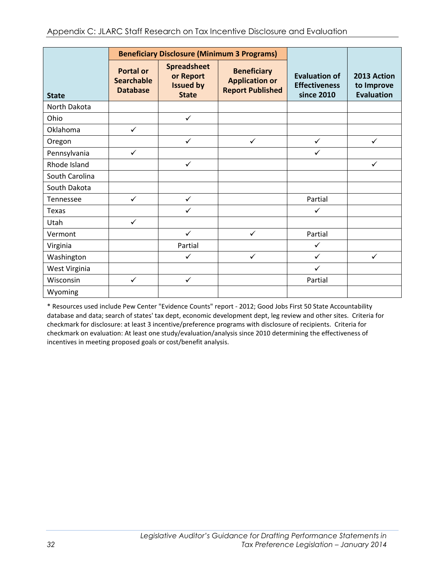|                |                                                          | <b>Beneficiary Disclosure (Minimum 3 Programs)</b>                  |                                                                        |                                                            |                                                |
|----------------|----------------------------------------------------------|---------------------------------------------------------------------|------------------------------------------------------------------------|------------------------------------------------------------|------------------------------------------------|
| <b>State</b>   | <b>Portal or</b><br><b>Searchable</b><br><b>Database</b> | <b>Spreadsheet</b><br>or Report<br><b>Issued by</b><br><b>State</b> | <b>Beneficiary</b><br><b>Application or</b><br><b>Report Published</b> | <b>Evaluation of</b><br><b>Effectiveness</b><br>since 2010 | 2013 Action<br>to Improve<br><b>Evaluation</b> |
| North Dakota   |                                                          |                                                                     |                                                                        |                                                            |                                                |
| Ohio           |                                                          | $\checkmark$                                                        |                                                                        |                                                            |                                                |
| Oklahoma       | $\checkmark$                                             |                                                                     |                                                                        |                                                            |                                                |
| Oregon         |                                                          | $\checkmark$                                                        | $\checkmark$                                                           | $\checkmark$                                               | $\checkmark$                                   |
| Pennsylvania   | $\checkmark$                                             |                                                                     |                                                                        | $\checkmark$                                               |                                                |
| Rhode Island   |                                                          | $\checkmark$                                                        |                                                                        |                                                            | ✓                                              |
| South Carolina |                                                          |                                                                     |                                                                        |                                                            |                                                |
| South Dakota   |                                                          |                                                                     |                                                                        |                                                            |                                                |
| Tennessee      | $\checkmark$                                             | $\checkmark$                                                        |                                                                        | Partial                                                    |                                                |
| Texas          |                                                          | $\checkmark$                                                        |                                                                        | $\checkmark$                                               |                                                |
| Utah           | $\checkmark$                                             |                                                                     |                                                                        |                                                            |                                                |
| Vermont        |                                                          | $\checkmark$                                                        | $\checkmark$                                                           | Partial                                                    |                                                |
| Virginia       |                                                          | Partial                                                             |                                                                        | $\checkmark$                                               |                                                |
| Washington     |                                                          | ✓                                                                   | $\checkmark$                                                           | $\checkmark$                                               | ✓                                              |
| West Virginia  |                                                          |                                                                     |                                                                        | $\checkmark$                                               |                                                |
| Wisconsin      | $\checkmark$                                             | $\checkmark$                                                        |                                                                        | Partial                                                    |                                                |
| Wyoming        |                                                          |                                                                     |                                                                        |                                                            |                                                |

\* Resources used include Pew Center "Evidence Counts" report - 2012; Good Jobs First 50 State Accountability database and data; search of states' tax dept, economic development dept, leg review and other sites. Criteria for checkmark for disclosure: at least 3 incentive/preference programs with disclosure of recipients. Criteria for checkmark on evaluation: At least one study/evaluation/analysis since 2010 determining the effectiveness of incentives in meeting proposed goals or cost/benefit analysis.